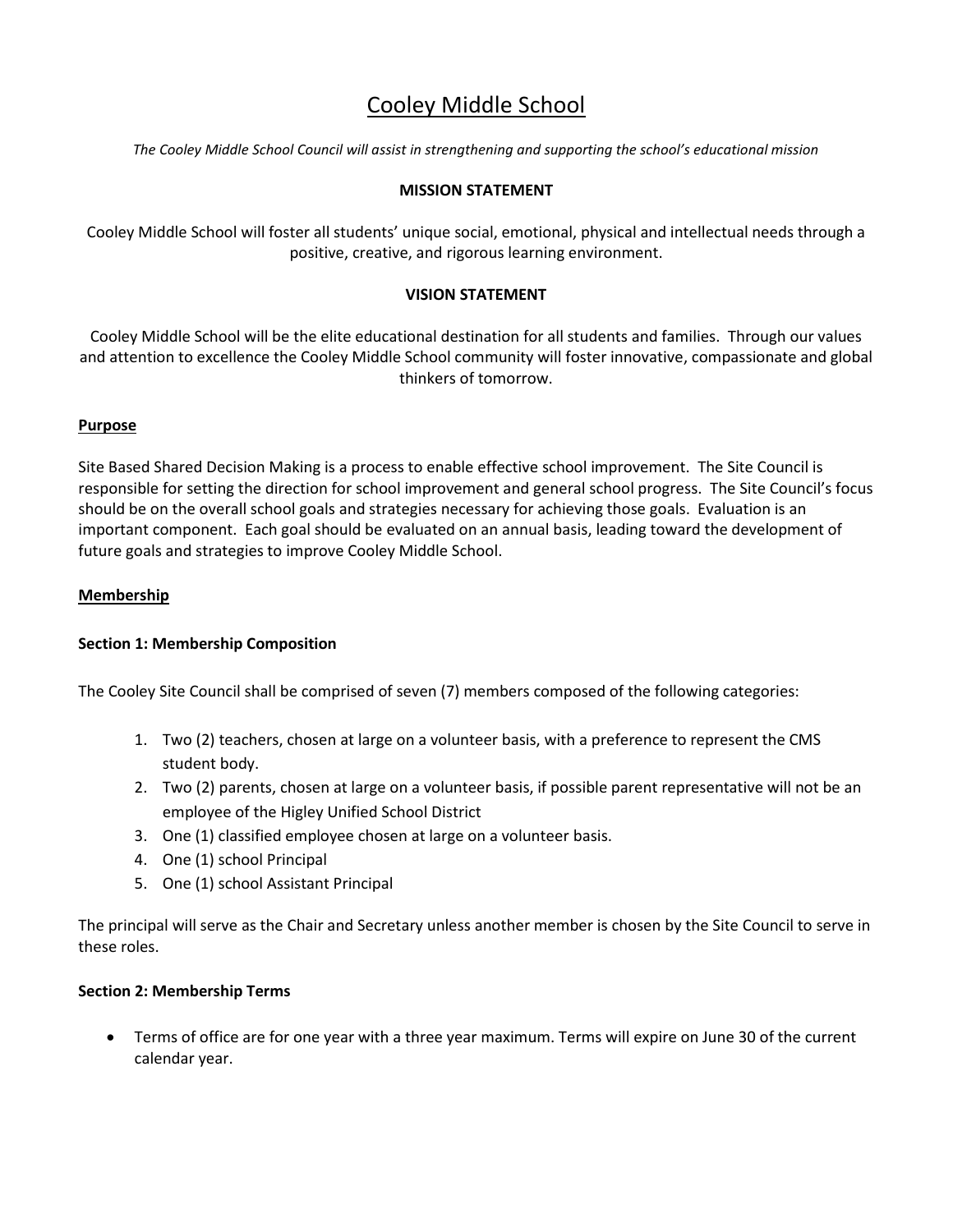# Cooley Middle School

*The Cooley Middle School Council will assist in strengthening and supporting the school's educational mission*

## **MISSION STATEMENT**

Cooley Middle School will foster all students' unique social, emotional, physical and intellectual needs through a positive, creative, and rigorous learning environment.

## **VISION STATEMENT**

Cooley Middle School will be the elite educational destination for all students and families. Through our values and attention to excellence the Cooley Middle School community will foster innovative, compassionate and global thinkers of tomorrow.

## **Purpose**

Site Based Shared Decision Making is a process to enable effective school improvement. The Site Council is responsible for setting the direction for school improvement and general school progress. The Site Council's focus should be on the overall school goals and strategies necessary for achieving those goals. Evaluation is an important component. Each goal should be evaluated on an annual basis, leading toward the development of future goals and strategies to improve Cooley Middle School.

## **Membership**

## **Section 1: Membership Composition**

The Cooley Site Council shall be comprised of seven (7) members composed of the following categories:

- 1. Two (2) teachers, chosen at large on a volunteer basis, with a preference to represent the CMS student body.
- 2. Two (2) parents, chosen at large on a volunteer basis, if possible parent representative will not be an employee of the Higley Unified School District
- 3. One (1) classified employee chosen at large on a volunteer basis.
- 4. One (1) school Principal
- 5. One (1) school Assistant Principal

The principal will serve as the Chair and Secretary unless another member is chosen by the Site Council to serve in these roles.

## **Section 2: Membership Terms**

 Terms of office are for one year with a three year maximum. Terms will expire on June 30 of the current calendar year.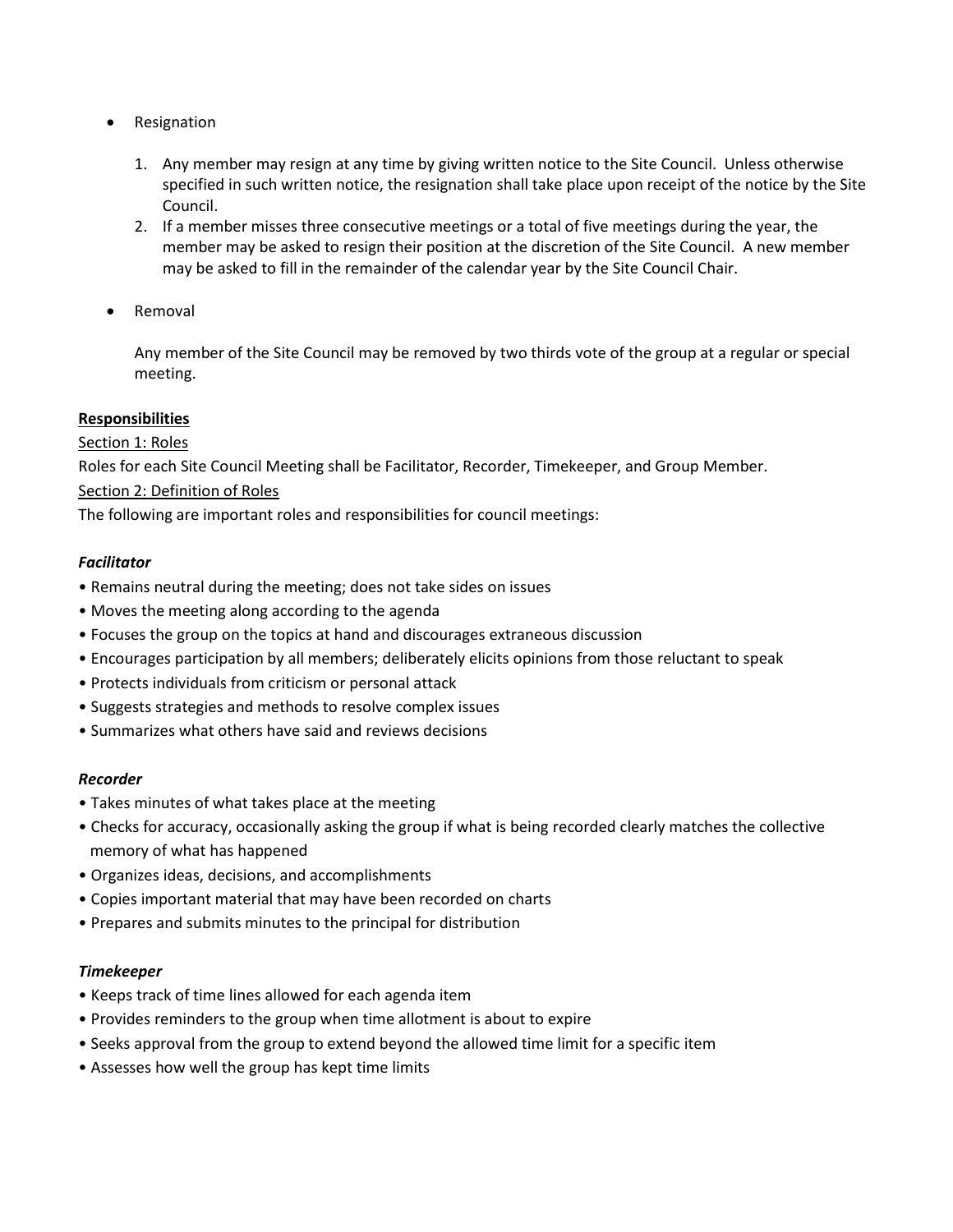- Resignation
	- 1. Any member may resign at any time by giving written notice to the Site Council. Unless otherwise specified in such written notice, the resignation shall take place upon receipt of the notice by the Site Council.
	- 2. If a member misses three consecutive meetings or a total of five meetings during the year, the member may be asked to resign their position at the discretion of the Site Council. A new member may be asked to fill in the remainder of the calendar year by the Site Council Chair.
- Removal

Any member of the Site Council may be removed by two thirds vote of the group at a regular or special meeting.

# **Responsibilities**

## Section 1: Roles

Roles for each Site Council Meeting shall be Facilitator, Recorder, Timekeeper, and Group Member.

# Section 2: Definition of Roles

The following are important roles and responsibilities for council meetings:

## *Facilitator*

- Remains neutral during the meeting; does not take sides on issues
- Moves the meeting along according to the agenda
- Focuses the group on the topics at hand and discourages extraneous discussion
- Encourages participation by all members; deliberately elicits opinions from those reluctant to speak
- Protects individuals from criticism or personal attack
- Suggests strategies and methods to resolve complex issues
- Summarizes what others have said and reviews decisions

## *Recorder*

- Takes minutes of what takes place at the meeting
- Checks for accuracy, occasionally asking the group if what is being recorded clearly matches the collective memory of what has happened
- Organizes ideas, decisions, and accomplishments
- Copies important material that may have been recorded on charts
- Prepares and submits minutes to the principal for distribution

## *Timekeeper*

- Keeps track of time lines allowed for each agenda item
- Provides reminders to the group when time allotment is about to expire
- Seeks approval from the group to extend beyond the allowed time limit for a specific item
- Assesses how well the group has kept time limits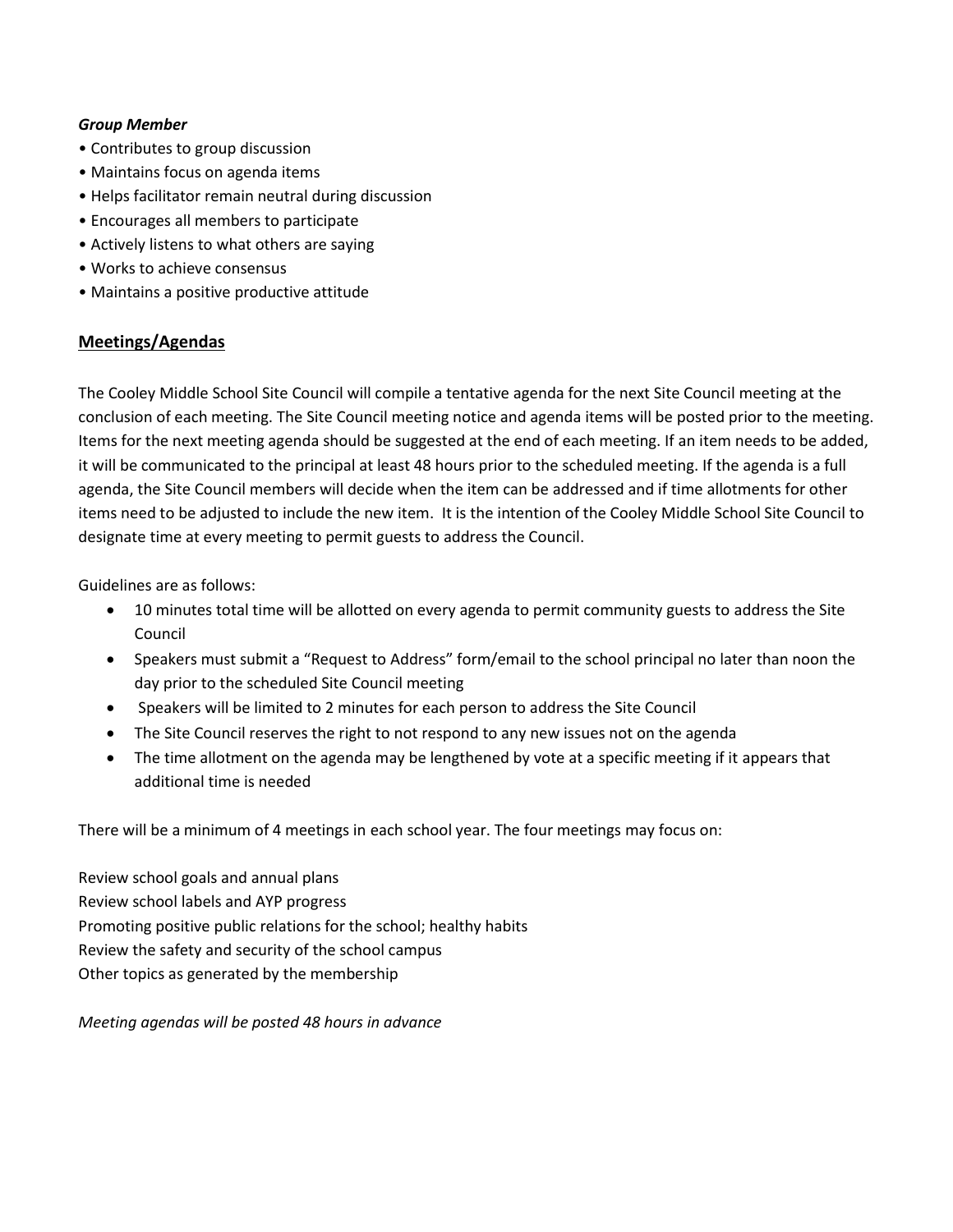## *Group Member*

- Contributes to group discussion
- Maintains focus on agenda items
- Helps facilitator remain neutral during discussion
- Encourages all members to participate
- Actively listens to what others are saying
- Works to achieve consensus
- Maintains a positive productive attitude

# **Meetings/Agendas**

The Cooley Middle School Site Council will compile a tentative agenda for the next Site Council meeting at the conclusion of each meeting. The Site Council meeting notice and agenda items will be posted prior to the meeting. Items for the next meeting agenda should be suggested at the end of each meeting. If an item needs to be added, it will be communicated to the principal at least 48 hours prior to the scheduled meeting. If the agenda is a full agenda, the Site Council members will decide when the item can be addressed and if time allotments for other items need to be adjusted to include the new item. It is the intention of the Cooley Middle School Site Council to designate time at every meeting to permit guests to address the Council.

Guidelines are as follows:

- 10 minutes total time will be allotted on every agenda to permit community guests to address the Site Council
- Speakers must submit a "Request to Address" form/email to the school principal no later than noon the day prior to the scheduled Site Council meeting
- Speakers will be limited to 2 minutes for each person to address the Site Council
- The Site Council reserves the right to not respond to any new issues not on the agenda
- The time allotment on the agenda may be lengthened by vote at a specific meeting if it appears that additional time is needed

There will be a minimum of 4 meetings in each school year. The four meetings may focus on:

Review school goals and annual plans Review school labels and AYP progress Promoting positive public relations for the school; healthy habits Review the safety and security of the school campus Other topics as generated by the membership

*Meeting agendas will be posted 48 hours in advance*